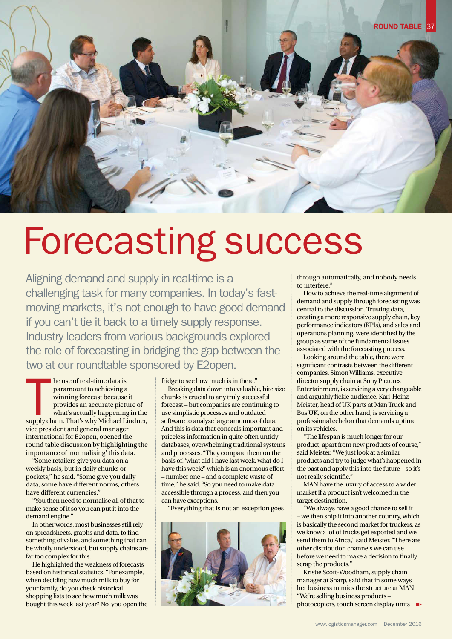

## Forecasting success

Aligning demand and supply in real-time is a challenging task for many companies. In today's fastmoving markets, it's not enough to have good demand if you can't tie it back to a timely supply response. Industry leaders from various backgrounds explored the role of forecasting in bridging the gap between the two at our roundtable sponsored by E2open.

he use of real-time data is<br>paramount to achieving a<br>winning forecast because it<br>provides an accurate picture of<br>what's actually happening in the<br>supply chain. That's why Michael Lindner, he use of real-time data is paramount to achieving a winning forecast because it provides an accurate picture of what's actually happening in the vice president and general manager international for E2open, opened the round table discussion by highlighting the importance of 'normalising' this data.

"Some retailers give you data on a weekly basis, but in daily chunks or pockets," he said. "Some give you daily data, some have different norms, others have different currencies."

"You then need to normalise all of that to make sense of it so you can put it into the demand engine."

In other words, most businesses still rely on spreadsheets, graphs and data, to find something of value, and something that can be wholly understood, but supply chains are far too complex for this.

He highlighted the weakness of forecasts based on historical statistics. "For example, when deciding how much milk to buy for your family, do you check historical shopping lists to see how much milk was bought this week last year? No, you open the fridge to see how much is in there."

Breaking data down into valuable, bite size chunks is crucial to any truly successful forecast – but companies are continuing to use simplistic processes and outdated software to analyse large amounts of data. And this is data that conceals important and priceless information in quite often untidy databases, overwhelming traditional systems and processes. "They compare them on the basis of, 'what did I have last week, what do I have this week?' which is an enormous effort – number one – and a complete waste of time," he said. "So you need to make data accessible through a process, and then you can have exceptions.

"Everything that is not an exception goes



through automatically, and nobody needs to interfere."

How to achieve the real-time alignment of demand and supply through forecasting was central to the discussion. Trusting data, creating a more responsive supply chain, key performance indicators (KPIs), and sales and operations planning, were identified by the group as some of the fundamental issues associated with the forecasting process.

Looking around the table, there were significant contrasts between the different companies. Simon Williams, executive director supply chain at Sony Pictures Entertainment, is servicing a very changeable and arguably fickle audience. Karl-Heinz Meister, head of UK parts at Man Truck and Bus UK, on the other hand, is servicing a professional echelon that demands uptime on its vehicles.

"The lifespan is much longer for our product, apart from new products of course," said Meister. "We just look at a similar products and try to judge what's happened in the past and apply this into the future – so it's not really scientific."

MAN have the luxury of access to a wider market if a product isn't welcomed in the target destination.

"We always have a good chance to sell it – we then ship it into another country, which is basically the second market for truckers, as we know a lot of trucks get exported and we send them to Africa," said Meister. "There are other distribution channels we can use before we need to make a decision to finally scrap the products."

Kristie Scott-Woodham, supply chain manager at Sharp, said that in some ways her business mimics the structure at MAN. "We're selling business products – photocopiers, touch screen display units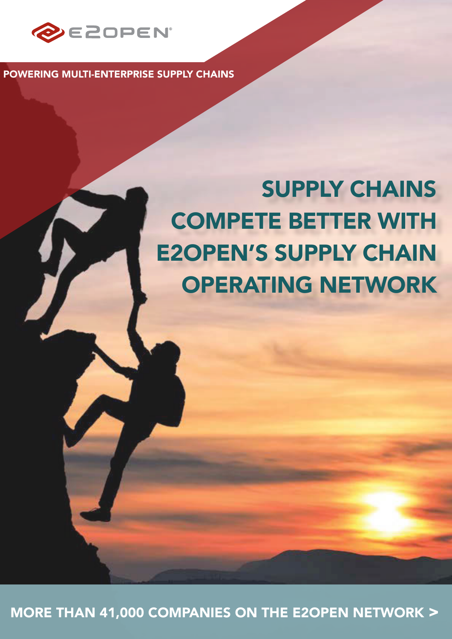

POWERING MULTI-ENTERPRISE SUPPLY CHAINS

## SUPPLY CHAINS COMPETE BETTER WITH E2OPEN'S SUPPLY CHAIN OPERATING NETWORK

MORE THAN 41,000 COMPANIES ON THE E2OPEN NETWORK >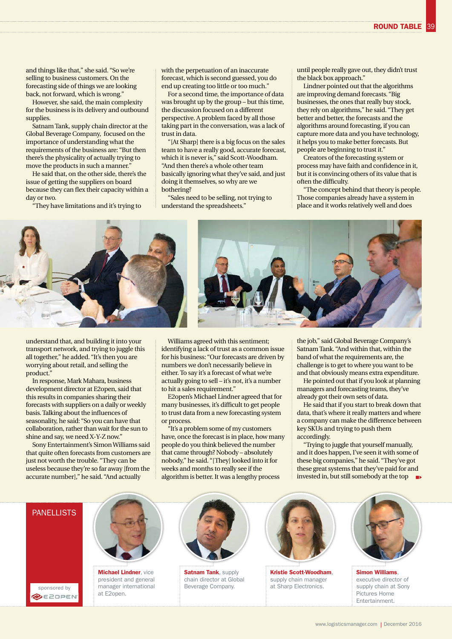39

and things like that," she said. "So we're selling to business customers. On the forecasting side of things we are looking back, not forward, which is wrong."

However, she said, the main complexity for the business is its delivery and outbound supplies.

Satnam Tank, supply chain director at the Global Beverage Company, focused on the importance of understanding what the requirements of the business are: "But then there's the physicality of actually trying to move the products in such a manner."

He said that, on the other side, there's the issue of getting the suppliers on board because they can flex their capacity within a day or two.

"They have limitations and it's trying to

with the perpetuation of an inaccurate forecast, which is second guessed, you do end up creating too little or too much."

For a second time, the importance of data was brought up by the group – but this time, the discussion focused on a different perspective. A problem faced by all those taking part in the conversation, was a lack of trust in data.

"[At Sharp] there is a big focus on the sales team to have a really good, accurate forecast, which it is never is," said Scott-Woodham. "And then there's a whole other team basically ignoring what they've said, and just doing it themselves, so why are we bothering?

"Sales need to be selling, not trying to understand the spreadsheets."

until people really gave out, they didn't trust the black box approach."

Lindner pointed out that the algorithms are improving demand forecasts. "Big businesses, the ones that really buy stock, they rely on algorithms," he said. "They get better and better, the forecasts and the algorithms around forecasting, if you can capture more data and you have technology, it helps you to make better forecasts. But people are beginning to trust it."

Creators of the forecasting system or process may have faith and confidence in it, but it is convincing others of its value that is often the difficulty.

"The concept behind that theory is people. Those companies already have a system in place and it works relatively well and does



understand that, and building it into your transport network, and trying to juggle this all together," he added. "It's then you are worrying about retail, and selling the product."

In response, Mark Mahara, business development director at E2open, said that this results in companies sharing their forecasts with suppliers on a daily or weekly basis. Talking about the influences of seasonality, he said: "So you can have that collaboration, rather than wait for the sun to shine and say, we need X-Y-Z now."

Sony Entertainment's Simon Williams said that quite often forecasts from customers are just not worth the trouble. "They can be useless because they're so far away [from the accurate number]," he said. "And actually



identifying a lack of trust as a common issue for his business: "Our forecasts are driven by numbers we don't necessarily believe in either. To say it's a forecast of what we're actually going to sell – it's not, it's a number to hit a sales requirement."

E2open's Michael Lindner agreed that for many businesses, it's difficult to get people to trust data from a new forecasting system or process.

"It's a problem some of my customers have, once the forecast is in place, how many people do you think believed the number that came through? Nobody – absolutely nobody," he said. "[They] looked into it for weeks and months to really see if the algorithm is better. It was a lengthy process

the job," said Global Beverage Company's Satnam Tank. "And within that, within the band of what the requirements are, the challenge is to get to where you want to be and that obviously means extra expenditure.

He pointed out that if you look at planning managers and forecasting teams, they've already got their own sets of data.

He said that if you start to break down that data, that's where it really matters and where a company can make the difference between key SKUs and trying to push them accordingly.

"Trying to juggle that yourself manually, and it does happen, I've seen it with some of these big companies," he said. "They've got these great systems that they've paid for and invested in, but still somebody at the top